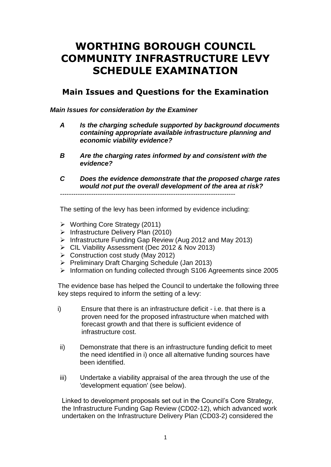## **WORTHING BOROUGH COUNCIL COMMUNITY INFRASTRUCTURE LEVY SCHEDULE EXAMINATION**

## **Main Issues and Questions for the Examination**

*Main Issues for consideration by the Examiner*

- *A Is the charging schedule supported by background documents containing appropriate available infrastructure planning and economic viability evidence?*
- *B Are the charging rates informed by and consistent with the evidence?*
- *C Does the evidence demonstrate that the proposed charge rates would not put the overall development of the area at risk?*

*-------------------------------------------------------------------------------*

The setting of the levy has been informed by evidence including:

- Worthing Core Strategy (2011)
- $\triangleright$  Infrastructure Delivery Plan (2010)
- $\triangleright$  Infrastructure Funding Gap Review (Aug 2012 and May 2013)
- CIL Viability Assessment (Dec 2012 & Nov 2013)
- $\triangleright$  Construction cost study (May 2012)
- Preliminary Draft Charging Schedule (Jan 2013)
- Information on funding collected through S106 Agreements since 2005

The evidence base has helped the Council to undertake the following three key steps required to inform the setting of a levy:

- i) Ensure that there is an infrastructure deficit i.e. that there is a proven need for the proposed infrastructure when matched with forecast growth and that there is sufficient evidence of infrastructure cost.
- ii) Demonstrate that there is an infrastructure funding deficit to meet the need identified in i) once all alternative funding sources have been identified.
- iii) Undertake a viability appraisal of the area through the use of the 'development equation' (see below).

Linked to development proposals set out in the Council's Core Strategy, the Infrastructure Funding Gap Review (CD02-12), which advanced work undertaken on the Infrastructure Delivery Plan (CD03-2) considered the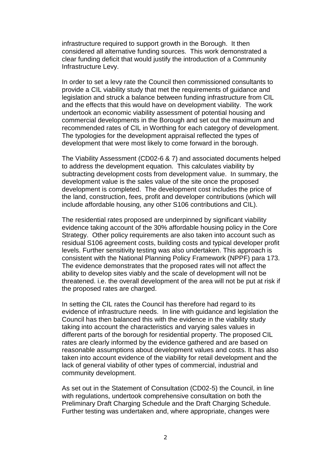infrastructure required to support growth in the Borough. It then considered all alternative funding sources. This work demonstrated a clear funding deficit that would justify the introduction of a Community Infrastructure Levy.

In order to set a levy rate the Council then commissioned consultants to provide a CIL viability study that met the requirements of guidance and legislation and struck a balance between funding infrastructure from CIL and the effects that this would have on development viability. The work undertook an economic viability assessment of potential housing and commercial developments in the Borough and set out the maximum and recommended rates of CIL in Worthing for each category of development. The typologies for the development appraisal reflected the types of development that were most likely to come forward in the borough.

The Viability Assessment (CD02-6 & 7) and associated documents helped to address the development equation. This calculates viability by subtracting development costs from development value. In summary, the development value is the sales value of the site once the proposed development is completed. The development cost includes the price of the land, construction, fees, profit and developer contributions (which will include affordable housing, any other S106 contributions and CIL).

The residential rates proposed are underpinned by significant viability evidence taking account of the 30% affordable housing policy in the Core Strategy. Other policy requirements are also taken into account such as residual S106 agreement costs, building costs and typical developer profit levels. Further sensitivity testing was also undertaken. This approach is consistent with the National Planning Policy Framework (NPPF) para 173. The evidence demonstrates that the proposed rates will not affect the ability to develop sites viably and the scale of development will not be threatened. i.e. the overall development of the area will not be put at risk if the proposed rates are charged.

In setting the CIL rates the Council has therefore had regard to its evidence of infrastructure needs. In line with guidance and legislation the Council has then balanced this with the evidence in the viability study taking into account the characteristics and varying sales values in different parts of the borough for residential property. The proposed CIL rates are clearly informed by the evidence gathered and are based on reasonable assumptions about development values and costs. It has also taken into account evidence of the viability for retail development and the lack of general viability of other types of commercial, industrial and community development.

As set out in the Statement of Consultation (CD02-5) the Council, in line with regulations, undertook comprehensive consultation on both the Preliminary Draft Charging Schedule and the Draft Charging Schedule. Further testing was undertaken and, where appropriate, changes were